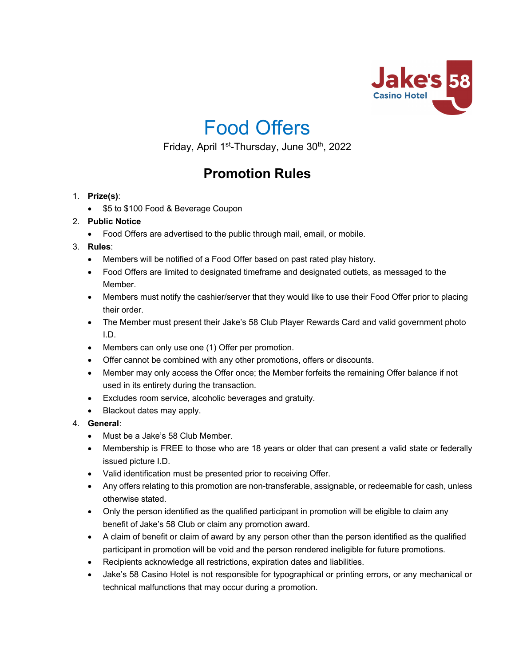

# Food Offers

Friday, April 1<sup>st</sup>-Thursday, June 30<sup>th</sup>, 2022

# **Promotion Rules**

- 1. **Prize(s)**:
	- \$5 to \$100 Food & Beverage Coupon

# 2. **Public Notice**

• Food Offers are advertised to the public through mail, email, or mobile.

# 3. **Rules**:

- Members will be notified of a Food Offer based on past rated play history.
- Food Offers are limited to designated timeframe and designated outlets, as messaged to the Member.
- Members must notify the cashier/server that they would like to use their Food Offer prior to placing their order.
- The Member must present their Jake's 58 Club Player Rewards Card and valid government photo I.D.
- Members can only use one (1) Offer per promotion.
- Offer cannot be combined with any other promotions, offers or discounts.
- Member may only access the Offer once; the Member forfeits the remaining Offer balance if not used in its entirety during the transaction.
- Excludes room service, alcoholic beverages and gratuity.
- Blackout dates may apply.

# 4. **General**:

- Must be a Jake's 58 Club Member.
- Membership is FREE to those who are 18 years or older that can present a valid state or federally issued picture I.D.
- Valid identification must be presented prior to receiving Offer.
- Any offers relating to this promotion are non-transferable, assignable, or redeemable for cash, unless otherwise stated.
- Only the person identified as the qualified participant in promotion will be eligible to claim any benefit of Jake's 58 Club or claim any promotion award.
- A claim of benefit or claim of award by any person other than the person identified as the qualified participant in promotion will be void and the person rendered ineligible for future promotions.
- Recipients acknowledge all restrictions, expiration dates and liabilities.
- Jake's 58 Casino Hotel is not responsible for typographical or printing errors, or any mechanical or technical malfunctions that may occur during a promotion.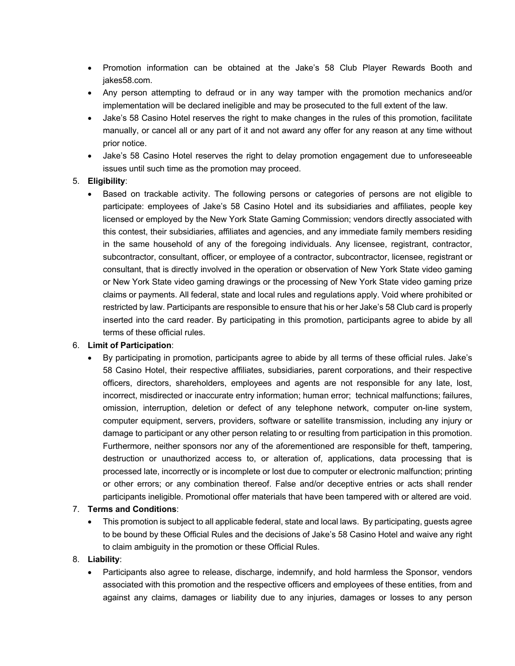- Promotion information can be obtained at the Jake's 58 Club Player Rewards Booth and jakes58.com.
- Any person attempting to defraud or in any way tamper with the promotion mechanics and/or implementation will be declared ineligible and may be prosecuted to the full extent of the law.
- Jake's 58 Casino Hotel reserves the right to make changes in the rules of this promotion, facilitate manually, or cancel all or any part of it and not award any offer for any reason at any time without prior notice.
- Jake's 58 Casino Hotel reserves the right to delay promotion engagement due to unforeseeable issues until such time as the promotion may proceed.

#### 5. **Eligibility**:

• Based on trackable activity. The following persons or categories of persons are not eligible to participate: employees of Jake's 58 Casino Hotel and its subsidiaries and affiliates, people key licensed or employed by the New York State Gaming Commission; vendors directly associated with this contest, their subsidiaries, affiliates and agencies, and any immediate family members residing in the same household of any of the foregoing individuals. Any licensee, registrant, contractor, subcontractor, consultant, officer, or employee of a contractor, subcontractor, licensee, registrant or consultant, that is directly involved in the operation or observation of New York State video gaming or New York State video gaming drawings or the processing of New York State video gaming prize claims or payments. All federal, state and local rules and regulations apply. Void where prohibited or restricted by law. Participants are responsible to ensure that his or her Jake's 58 Club card is properly inserted into the card reader. By participating in this promotion, participants agree to abide by all terms of these official rules.

#### 6. **Limit of Participation**:

• By participating in promotion, participants agree to abide by all terms of these official rules. Jake's 58 Casino Hotel, their respective affiliates, subsidiaries, parent corporations, and their respective officers, directors, shareholders, employees and agents are not responsible for any late, lost, incorrect, misdirected or inaccurate entry information; human error; technical malfunctions; failures, omission, interruption, deletion or defect of any telephone network, computer on-line system, computer equipment, servers, providers, software or satellite transmission, including any injury or damage to participant or any other person relating to or resulting from participation in this promotion. Furthermore, neither sponsors nor any of the aforementioned are responsible for theft, tampering, destruction or unauthorized access to, or alteration of, applications, data processing that is processed late, incorrectly or is incomplete or lost due to computer or electronic malfunction; printing or other errors; or any combination thereof. False and/or deceptive entries or acts shall render participants ineligible. Promotional offer materials that have been tampered with or altered are void.

#### 7. **Terms and Conditions**:

• This promotion is subject to all applicable federal, state and local laws. By participating, guests agree to be bound by these Official Rules and the decisions of Jake's 58 Casino Hotel and waive any right to claim ambiguity in the promotion or these Official Rules.

# 8. **Liability**:

• Participants also agree to release, discharge, indemnify, and hold harmless the Sponsor, vendors associated with this promotion and the respective officers and employees of these entities, from and against any claims, damages or liability due to any injuries, damages or losses to any person